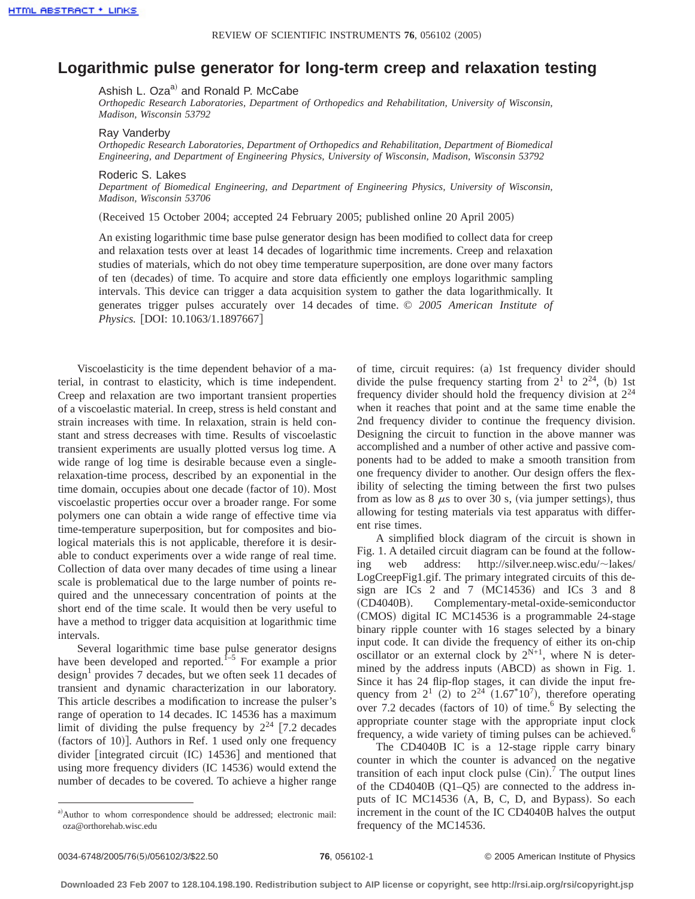## **Logarithmic pulse generator for long-term creep and relaxation testing**

Ashish L. Oza<sup>a)</sup> and Ronald P. McCabe

*Orthopedic Research Laboratories, Department of Orthopedics and Rehabilitation, University of Wisconsin, Madison, Wisconsin 53792*

## Ray Vanderby

*Orthopedic Research Laboratories, Department of Orthopedics and Rehabilitation, Department of Biomedical Engineering, and Department of Engineering Physics, University of Wisconsin, Madison, Wisconsin 53792*

## Roderic S. Lakes

*Department of Biomedical Engineering, and Department of Engineering Physics, University of Wisconsin, Madison, Wisconsin 53706*

(Received 15 October 2004; accepted 24 February 2005; published online 20 April 2005)

An existing logarithmic time base pulse generator design has been modified to collect data for creep and relaxation tests over at least 14 decades of logarithmic time increments. Creep and relaxation studies of materials, which do not obey time temperature superposition, are done over many factors of ten (decades) of time. To acquire and store data efficiently one employs logarithmic sampling intervals. This device can trigger a data acquisition system to gather the data logarithmically. It generates trigger pulses accurately over 14 decades of time. *© 2005 American Institute of Physics.* [DOI: 10.1063/1.1897667]

Viscoelasticity is the time dependent behavior of a material, in contrast to elasticity, which is time independent. Creep and relaxation are two important transient properties of a viscoelastic material. In creep, stress is held constant and strain increases with time. In relaxation, strain is held constant and stress decreases with time. Results of viscoelastic transient experiments are usually plotted versus log time. A wide range of log time is desirable because even a singlerelaxation-time process, described by an exponential in the time domain, occupies about one decade (factor of 10). Most viscoelastic properties occur over a broader range. For some polymers one can obtain a wide range of effective time via time-temperature superposition, but for composites and biological materials this is not applicable, therefore it is desirable to conduct experiments over a wide range of real time. Collection of data over many decades of time using a linear scale is problematical due to the large number of points required and the unnecessary concentration of points at the short end of the time scale. It would then be very useful to have a method to trigger data acquisition at logarithmic time intervals.

Several logarithmic time base pulse generator designs have been developed and reported.<sup>1–5</sup> For example a prior  $\text{design}^1$  provides 7 decades, but we often seek 11 decades of transient and dynamic characterization in our laboratory. This article describes a modification to increase the pulser's range of operation to 14 decades. IC 14536 has a maximum limit of dividing the pulse frequency by  $2^{24}$  [7.2 decades (factors of 10)]. Authors in Ref. 1 used only one frequency divider [integrated circuit  $(IC)$  14536] and mentioned that using more frequency dividers  $(IC 14536)$  would extend the number of decades to be covered. To achieve a higher range of time, circuit requires: (a) 1st frequency divider should divide the pulse frequency starting from  $2^1$  to  $2^{24}$ , (b) 1st frequency divider should hold the frequency division at 2<sup>24</sup> when it reaches that point and at the same time enable the 2nd frequency divider to continue the frequency division. Designing the circuit to function in the above manner was accomplished and a number of other active and passive components had to be added to make a smooth transition from one frequency divider to another. Our design offers the flexibility of selecting the timing between the first two pulses from as low as  $8 \mu s$  to over 30 s, (via jumper settings), thus allowing for testing materials via test apparatus with different rise times.

A simplified block diagram of the circuit is shown in Fig. 1. A detailed circuit diagram can be found at the following web address: http://silver.neep.wisc.edu/~lakes/ LogCreepFig1.gif. The primary integrated circuits of this design are ICs 2 and 7  $(MC14536)$  and ICs 3 and 8 (CD4040B). Complementary-metal-oxide-semiconductor (CMOS) digital IC MC14536 is a programmable 24-stage binary ripple counter with 16 stages selected by a binary input code. It can divide the frequency of either its on-chip oscillator or an external clock by  $2^{N+1}$ , where N is determined by the address inputs (ABCD) as shown in Fig. 1. Since it has 24 flip-flop stages, it can divide the input frequency from  $2^1$  (2) to  $2^{24}$  (1.67<sup>\*</sup>10<sup>7</sup>), therefore operating over 7.2 decades (factors of 10) of time.<sup>6</sup> By selecting the appropriate counter stage with the appropriate input clock frequency, a wide variety of timing pulses can be achieved.<sup>6</sup>

The CD4040B IC is a 12-stage ripple carry binary counter in which the counter is advanced on the negative transition of each input clock pulse  $(Cin)$ .<sup>7</sup> The output lines of the CD4040B  $(Q1-Q5)$  are connected to the address inputs of IC MC14536  $(A, B, C, D, and Bypass)$ . So each increment in the count of the IC CD4040B halves the output frequency of the MC14536.

a)Author to whom correspondence should be addressed; electronic mail: oza@orthorehab.wisc.edu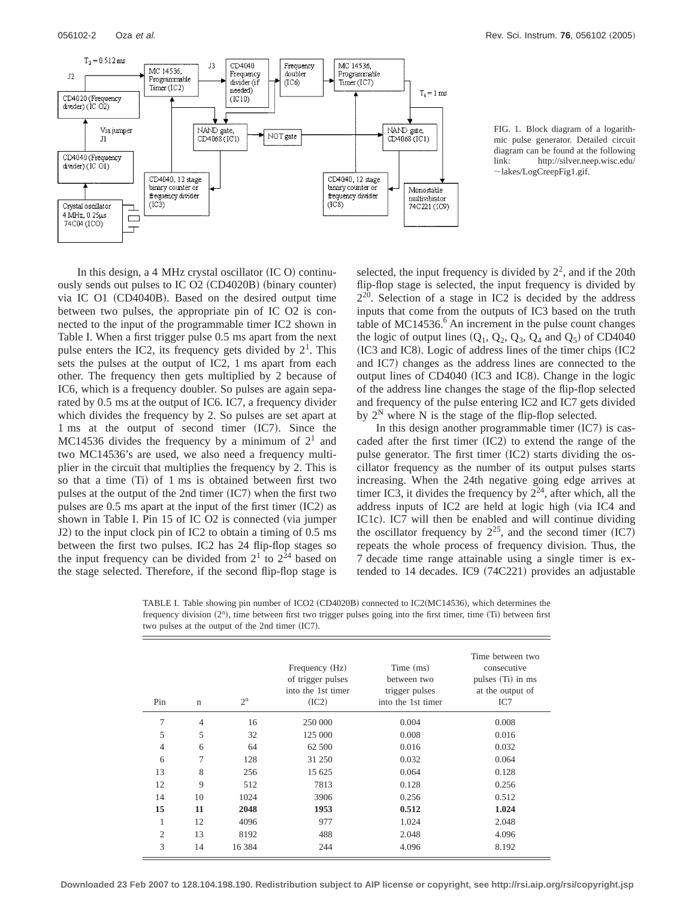

FIG. 1. Block diagram of a logarithmic pulse generator. Detailed circuit diagram can be found at the following link: http://silver.neep.wisc.edu/  $\sim$ lakes/LogCreepFig1.gif.

In this design, a 4 MHz crystal oscillator  $(IC O)$  continuously sends out pulses to IC  $O2$  (CD4020B) (binary counter) via IC  $O1$  (CD4040B). Based on the desired output time between two pulses, the appropriate pin of IC O2 is connected to the input of the programmable timer IC2 shown in Table I. When a first trigger pulse 0.5 ms apart from the next pulse enters the IC2, its frequency gets divided by  $2<sup>1</sup>$ . This sets the pulses at the output of IC2, 1 ms apart from each other. The frequency then gets multiplied by 2 because of IC6, which is a frequency doubler. So pulses are again separated by 0.5 ms at the output of IC6. IC7, a frequency divider which divides the frequency by 2. So pulses are set apart at  $1 \text{ ms}$  at the output of second timer (IC7). Since the MC14536 divides the frequency by a minimum of  $2<sup>1</sup>$  and two MC14536's are used, we also need a frequency multiplier in the circuit that multiplies the frequency by 2. This is so that a time  $(Ti)$  of 1 ms is obtained between first two pulses at the output of the 2nd timer  $(IC7)$  when the first two pulses are  $0.5$  ms apart at the input of the first timer  $(IC2)$  as shown in Table I. Pin 15 of IC  $O2$  is connected (via jumper J2) to the input clock pin of IC2 to obtain a timing of  $0.5 \text{ ms}$ between the first two pulses. IC2 has 24 flip-flop stages so the input frequency can be divided from  $2<sup>1</sup>$  to  $2<sup>24</sup>$  based on the stage selected. Therefore, if the second flip-flop stage is

selected, the input frequency is divided by  $2^2$ , and if the 20th flip-flop stage is selected, the input frequency is divided by  $2^{20}$ . Selection of a stage in IC2 is decided by the address inputs that come from the outputs of IC3 based on the truth table of MC14536. $<sup>6</sup>$  An increment in the pulse count changes</sup> the logic of output lines  $(Q_1, Q_2, Q_3, Q_4$  and  $Q_5$ ) of CD4040  $(IC3 and IC8)$ . Logic of address lines of the timer chips  $(IC2)$ and IC7) changes as the address lines are connected to the output lines of  $CD4040$  (IC3 and IC8). Change in the logic of the address line changes the stage of the flip-flop selected and frequency of the pulse entering IC2 and IC7 gets divided by  $2^N$  where N is the stage of the flip-flop selected.

In this design another programmable timer  $(IC7)$  is cascaded after the first timer  $(IC2)$  to extend the range of the pulse generator. The first timer  $(IC2)$  starts dividing the oscillator frequency as the number of its output pulses starts increasing. When the 24th negative going edge arrives at timer IC3, it divides the frequency by  $2^{24}$ , after which, all the address inputs of IC2 are held at logic high (via IC4 and IC1c). IC7 will then be enabled and will continue dividing the oscillator frequency by  $2^{25}$ , and the second timer (IC7) repeats the whole process of frequency division. Thus, the 7 decade time range attainable using a single timer is extended to 14 decades. IC9  $(74C221)$  provides an adjustable

TABLE I. Table showing pin number of ICO2 (CD4020B) connected to IC2( $MC14536$ ), which determines the frequency division (2<sup>n</sup>), time between first two trigger pulses going into the first timer, time (Ti) between first two pulses at the output of the 2nd timer  $(IC7)$ .

| Pin            | $\mathbf n$    | $2^n$    | Frequency (Hz)<br>of trigger pulses<br>into the 1st timer<br>(IC2) | Time (ms)<br>between two<br>trigger pulses<br>into the 1st timer | Time between two<br>consecutive<br>pulses (Ti) in ms<br>at the output of<br>IC7 |
|----------------|----------------|----------|--------------------------------------------------------------------|------------------------------------------------------------------|---------------------------------------------------------------------------------|
| 7              | $\overline{4}$ | 16       | 250 000                                                            | 0.004                                                            | 0.008                                                                           |
| 5              | 5              | 32       | 125 000                                                            | 0.008                                                            | 0.016                                                                           |
| 4              | 6              | 64       | 62 500                                                             | 0.016                                                            | 0.032                                                                           |
| 6              | 7              | 128      | 31 250                                                             | 0.032                                                            | 0.064                                                                           |
| 13             | 8              | 256      | 15 625                                                             | 0.064                                                            | 0.128                                                                           |
| 12             | 9              | 512      | 7813                                                               | 0.128                                                            | 0.256                                                                           |
| 14             | 10             | 1024     | 3906                                                               | 0.256                                                            | 0.512                                                                           |
| 15             | 11             | 2048     | 1953                                                               | 0.512                                                            | 1.024                                                                           |
| 1              | 12             | 4096     | 977                                                                | 1.024                                                            | 2.048                                                                           |
| $\overline{c}$ | 13             | 8192     | 488                                                                | 2.048                                                            | 4.096                                                                           |
| 3              | 14             | 16 3 8 4 | 244                                                                | 4.096                                                            | 8.192                                                                           |

**Downloaded 23 Feb 2007 to 128.104.198.190. Redistribution subject to AIP license or copyright, see http://rsi.aip.org/rsi/copyright.jsp**